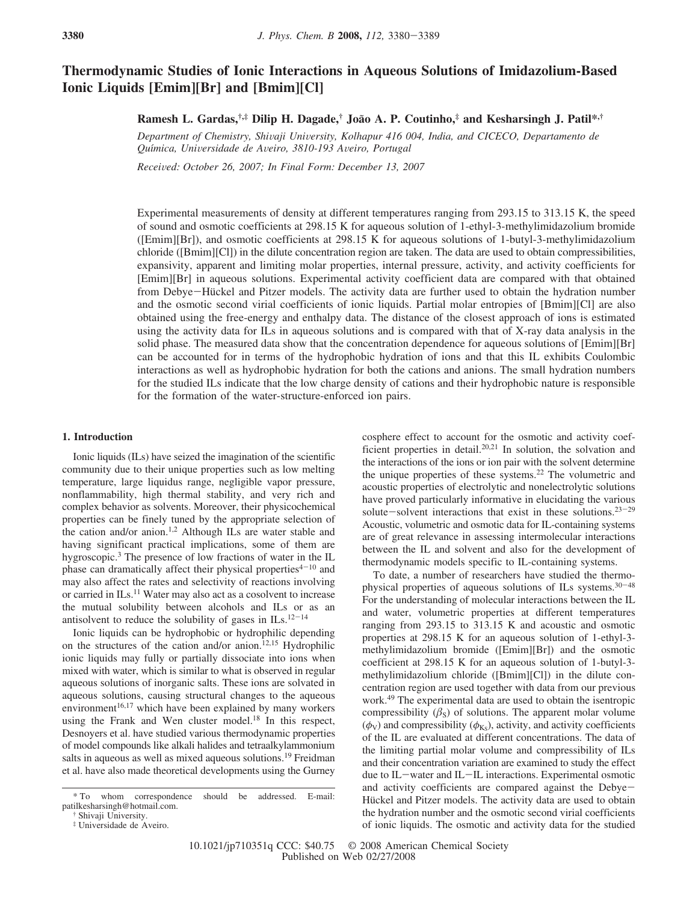# **Thermodynamic Studies of Ionic Interactions in Aqueous Solutions of Imidazolium-Based Ionic Liquids [Emim][Br] and [Bmim][Cl]**

**Ramesh L. Gardas,†,‡ Dilip H. Dagade,† Joa**˜**o A. P. Coutinho,‡ and Kesharsingh J. Patil\*,†**

*Department of Chemistry, Shi*V*aji Uni*V*ersity, Kolhapur 416 004, India, and CICECO, Departamento de Quı*´*mica, Uni*V*ersidade de A*V*eiro, 3810-193 A*V*eiro, Portugal*

*Recei*V*ed: October 26, 2007; In Final Form: December 13, 2007*

Experimental measurements of density at different temperatures ranging from 293.15 to 313.15 K, the speed of sound and osmotic coefficients at 298.15 K for aqueous solution of 1-ethyl-3-methylimidazolium bromide ([Emim][Br]), and osmotic coefficients at 298.15 K for aqueous solutions of 1-butyl-3-methylimidazolium chloride ([Bmim][Cl]) in the dilute concentration region are taken. The data are used to obtain compressibilities, expansivity, apparent and limiting molar properties, internal pressure, activity, and activity coefficients for [Emim][Br] in aqueous solutions. Experimental activity coefficient data are compared with that obtained from Debye-Hückel and Pitzer models. The activity data are further used to obtain the hydration number and the osmotic second virial coefficients of ionic liquids. Partial molar entropies of [Bmim][Cl] are also obtained using the free-energy and enthalpy data. The distance of the closest approach of ions is estimated using the activity data for ILs in aqueous solutions and is compared with that of X-ray data analysis in the solid phase. The measured data show that the concentration dependence for aqueous solutions of [Emim][Br] can be accounted for in terms of the hydrophobic hydration of ions and that this IL exhibits Coulombic interactions as well as hydrophobic hydration for both the cations and anions. The small hydration numbers for the studied ILs indicate that the low charge density of cations and their hydrophobic nature is responsible for the formation of the water-structure-enforced ion pairs.

## **1. Introduction**

Ionic liquids (ILs) have seized the imagination of the scientific community due to their unique properties such as low melting temperature, large liquidus range, negligible vapor pressure, nonflammability, high thermal stability, and very rich and complex behavior as solvents. Moreover, their physicochemical properties can be finely tuned by the appropriate selection of the cation and/or anion.<sup>1,2</sup> Although ILs are water stable and having significant practical implications, some of them are hygroscopic.<sup>3</sup> The presence of low fractions of water in the IL phase can dramatically affect their physical properties $4-10$  and may also affect the rates and selectivity of reactions involving or carried in ILs.<sup>11</sup> Water may also act as a cosolvent to increase the mutual solubility between alcohols and ILs or as an antisolvent to reduce the solubility of gases in  $ILs.12-14$ 

Ionic liquids can be hydrophobic or hydrophilic depending on the structures of the cation and/or anion.<sup>12,15</sup> Hydrophilic ionic liquids may fully or partially dissociate into ions when mixed with water, which is similar to what is observed in regular aqueous solutions of inorganic salts. These ions are solvated in aqueous solutions, causing structural changes to the aqueous environment $16,17$  which have been explained by many workers using the Frank and Wen cluster model.<sup>18</sup> In this respect, Desnoyers et al. have studied various thermodynamic properties of model compounds like alkali halides and tetraalkylammonium salts in aqueous as well as mixed aqueous solutions.<sup>19</sup> Freidman et al. have also made theoretical developments using the Gurney

cosphere effect to account for the osmotic and activity coefficient properties in detail.20,21 In solution, the solvation and the interactions of the ions or ion pair with the solvent determine the unique properties of these systems.<sup>22</sup> The volumetric and acoustic properties of electrolytic and nonelectrolytic solutions have proved particularly informative in elucidating the various solute-solvent interactions that exist in these solutions. $23-29$ Acoustic, volumetric and osmotic data for IL-containing systems are of great relevance in assessing intermolecular interactions between the IL and solvent and also for the development of thermodynamic models specific to IL-containing systems.

To date, a number of researchers have studied the thermophysical properties of aqueous solutions of ILs systems.<sup>30</sup>-<sup>48</sup> For the understanding of molecular interactions between the IL and water, volumetric properties at different temperatures ranging from 293.15 to 313.15 K and acoustic and osmotic properties at 298.15 K for an aqueous solution of 1-ethyl-3 methylimidazolium bromide ([Emim][Br]) and the osmotic coefficient at 298.15 K for an aqueous solution of 1-butyl-3 methylimidazolium chloride ([Bmim][Cl]) in the dilute concentration region are used together with data from our previous work.<sup>49</sup> The experimental data are used to obtain the isentropic compressibility  $(\beta_s)$  of solutions. The apparent molar volume  $(\phi_V)$  and compressibility ( $\phi_{K_S}$ ), activity, and activity coefficients of the IL are evaluated at different concentrations. The data of the limiting partial molar volume and compressibility of ILs and their concentration variation are examined to study the effect due to IL-water and IL-IL interactions. Experimental osmotic and activity coefficients are compared against the Debye-Hückel and Pitzer models. The activity data are used to obtain the hydration number and the osmotic second virial coefficients of ionic liquids. The osmotic and activity data for the studied

<sup>\*</sup> To whom correspondence should be addressed. E-mail: patilkesharsingh@hotmail.com.

<sup>†</sup> Shivaji University.

<sup>‡</sup> Universidade de Aveiro.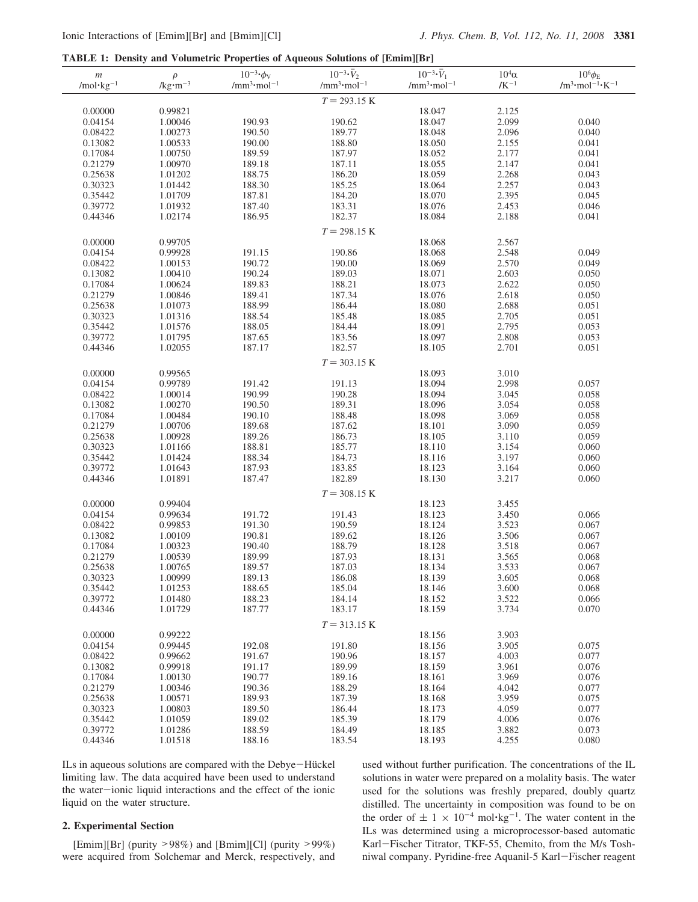**TABLE 1: Density and Volumetric Properties of Aqueous Solutions of [Emim][Br]**

| $\,m$                 | $\rho$              | $10^{-3}$ · $\phi$ <sub>V</sub>            | $10^{-3} \cdot \overline{V}_2$             | $10^{-3} \cdot \bar{V}_1$                  | $10^4\alpha$    | $10^6 \phi_{\rm E}$                |
|-----------------------|---------------------|--------------------------------------------|--------------------------------------------|--------------------------------------------|-----------------|------------------------------------|
| /mol·kg <sup>-1</sup> | / $kg \cdot m^{-3}$ | /mm <sup>3</sup> $\cdot$ mol <sup>-1</sup> | /mm <sup>3</sup> $\cdot$ mol <sup>-1</sup> | /mm <sup>3</sup> $\cdot$ mol <sup>-1</sup> | $/{\rm K}^{-1}$ | $/m^3 \cdot mol^{-1} \cdot K^{-1}$ |
|                       |                     |                                            |                                            |                                            |                 |                                    |
|                       |                     |                                            | $T = 293.15 \text{ K}$                     |                                            |                 |                                    |
| 0.00000               | 0.99821             |                                            |                                            | 18.047                                     | 2.125           |                                    |
|                       |                     |                                            |                                            |                                            |                 |                                    |
| 0.04154               | 1.00046             | 190.93                                     | 190.62                                     | 18.047                                     | 2.099           | 0.040                              |
| 0.08422               | 1.00273             | 190.50                                     | 189.77                                     | 18.048                                     | 2.096           | 0.040                              |
| 0.13082               | 1.00533             | 190.00                                     | 188.80                                     | 18.050                                     | 2.155           | 0.041                              |
| 0.17084               | 1.00750             | 189.59                                     | 187.97                                     | 18.052                                     | 2.177           | 0.041                              |
| 0.21279               | 1.00970             | 189.18                                     | 187.11                                     | 18.055                                     | 2.147           | 0.041                              |
| 0.25638               | 1.01202             | 188.75                                     | 186.20                                     | 18.059                                     | 2.268           | 0.043                              |
|                       |                     |                                            |                                            |                                            |                 |                                    |
| 0.30323               | 1.01442             | 188.30                                     | 185.25                                     | 18.064                                     | 2.257           | 0.043                              |
| 0.35442               | 1.01709             | 187.81                                     | 184.20                                     | 18.070                                     | 2.395           | 0.045                              |
| 0.39772               | 1.01932             | 187.40                                     | 183.31                                     | 18.076                                     | 2.453           | 0.046                              |
| 0.44346               | 1.02174             | 186.95                                     | 182.37                                     | 18.084                                     | 2.188           | 0.041                              |
|                       |                     |                                            |                                            |                                            |                 |                                    |
|                       |                     |                                            | $T = 298.15 K$                             |                                            |                 |                                    |
| 0.00000               | 0.99705             |                                            |                                            | 18.068                                     | 2.567           |                                    |
| 0.04154               | 0.99928             | 191.15                                     | 190.86                                     | 18.068                                     | 2.548           | 0.049                              |
| 0.08422               | 1.00153             | 190.72                                     | 190.00                                     | 18.069                                     | 2.570           | 0.049                              |
|                       |                     |                                            |                                            |                                            | 2.603           |                                    |
| 0.13082               | 1.00410             | 190.24                                     | 189.03                                     | 18.071                                     |                 | 0.050                              |
| 0.17084               | 1.00624             | 189.83                                     | 188.21                                     | 18.073                                     | 2.622           | 0.050                              |
| 0.21279               | 1.00846             | 189.41                                     | 187.34                                     | 18.076                                     | 2.618           | 0.050                              |
| 0.25638               | 1.01073             | 188.99                                     | 186.44                                     | 18.080                                     | 2.688           | 0.051                              |
| 0.30323               | 1.01316             | 188.54                                     | 185.48                                     | 18.085                                     | 2.705           | 0.051                              |
| 0.35442               | 1.01576             | 188.05                                     | 184.44                                     | 18.091                                     | 2.795           | 0.053                              |
|                       |                     |                                            |                                            |                                            |                 |                                    |
| 0.39772               | 1.01795             | 187.65                                     | 183.56                                     | 18.097                                     | 2.808           | 0.053                              |
| 0.44346               | 1.02055             | 187.17                                     | 182.57                                     | 18.105                                     | 2.701           | 0.051                              |
|                       |                     |                                            | $T = 303.15 K$                             |                                            |                 |                                    |
|                       |                     |                                            |                                            |                                            |                 |                                    |
| 0.00000               | 0.99565             |                                            |                                            | 18.093                                     | 3.010           |                                    |
| 0.04154               | 0.99789             | 191.42                                     | 191.13                                     | 18.094                                     | 2.998           | 0.057                              |
| 0.08422               | 1.00014             | 190.99                                     | 190.28                                     | 18.094                                     | 3.045           | 0.058                              |
| 0.13082               | 1.00270             | 190.50                                     | 189.31                                     | 18.096                                     | 3.054           | 0.058                              |
| 0.17084               | 1.00484             | 190.10                                     | 188.48                                     | 18.098                                     | 3.069           | 0.058                              |
|                       |                     |                                            |                                            |                                            |                 |                                    |
| 0.21279               | 1.00706             | 189.68                                     | 187.62                                     | 18.101                                     | 3.090           | 0.059                              |
| 0.25638               | 1.00928             | 189.26                                     | 186.73                                     | 18.105                                     | 3.110           | 0.059                              |
| 0.30323               | 1.01166             | 188.81                                     | 185.77                                     | 18.110                                     | 3.154           | 0.060                              |
| 0.35442               | 1.01424             | 188.34                                     | 184.73                                     | 18.116                                     | 3.197           | 0.060                              |
| 0.39772               | 1.01643             | 187.93                                     | 183.85                                     | 18.123                                     | 3.164           | 0.060                              |
| 0.44346               | 1.01891             | 187.47                                     | 182.89                                     | 18.130                                     | 3.217           | 0.060                              |
|                       |                     |                                            |                                            |                                            |                 |                                    |
|                       |                     |                                            | $T = 308.15$ K                             |                                            |                 |                                    |
| 0.00000               | 0.99404             |                                            |                                            | 18.123                                     | 3.455           |                                    |
| 0.04154               | 0.99634             | 191.72                                     | 191.43                                     | 18.123                                     | 3.450           | 0.066                              |
| 0.08422               | 0.99853             | 191.30                                     | 190.59                                     | 18.124                                     | 3.523           | 0.067                              |
|                       |                     |                                            |                                            |                                            |                 |                                    |
| 0.13082               | 1.00109             | 190.81                                     | 189.62                                     | 18.126                                     | 3.506           | 0.067                              |
| 0.17084               | 1.00323             | 190.40                                     | 188.79                                     | 18.128                                     | 3.518           | 0.067                              |
| 0.21279               | 1.00539             | 189.99                                     | 187.93                                     | 18.131                                     | 3.565           | 0.068                              |
| 0.25638               | 1.00765             | 189.57                                     | 187.03                                     | 18.134                                     | 3.533           | 0.067                              |
| 0.30323               | 1.00999             | 189.13                                     | 186.08                                     | 18.139                                     | 3.605           | 0.068                              |
| 0.35442               | 1.01253             | 188.65                                     | 185.04                                     | 18.146                                     | 3.600           | 0.068                              |
|                       |                     |                                            |                                            |                                            |                 |                                    |
| 0.39772               | 1.01480             | 188.23                                     | 184.14                                     | 18.152                                     | 3.522           | 0.066                              |
| 0.44346               | 1.01729             | 187.77                                     | 183.17                                     | 18.159                                     | 3.734           | 0.070                              |
|                       |                     |                                            |                                            |                                            |                 |                                    |
|                       |                     |                                            | $T = 313.15 K$                             |                                            |                 |                                    |
| 0.00000               | 0.99222             |                                            |                                            | 18.156                                     | 3.903           |                                    |
| 0.04154               | 0.99445             | 192.08                                     | 191.80                                     | 18.156                                     | 3.905           | 0.075                              |
| 0.08422               | 0.99662             | 191.67                                     | 190.96                                     | 18.157                                     | 4.003           | 0.077                              |
| 0.13082               | 0.99918             | 191.17                                     | 189.99                                     | 18.159                                     | 3.961           | 0.076                              |
| 0.17084               | 1.00130             | 190.77                                     | 189.16                                     | 18.161                                     | 3.969           | 0.076                              |
|                       |                     |                                            |                                            |                                            |                 |                                    |
| 0.21279               | 1.00346             | 190.36                                     | 188.29                                     | 18.164                                     | 4.042           | 0.077                              |
| 0.25638               | 1.00571             | 189.93                                     | 187.39                                     | 18.168                                     | 3.959           | 0.075                              |
| 0.30323               | 1.00803             | 189.50                                     | 186.44                                     | 18.173                                     | 4.059           | 0.077                              |
| 0.35442               | 1.01059             | 189.02                                     | 185.39                                     | 18.179                                     | 4.006           | 0.076                              |
| 0.39772               | 1.01286             | 188.59                                     | 184.49                                     | 18.185                                     | 3.882           | 0.073                              |
|                       |                     |                                            |                                            |                                            |                 |                                    |
| 0.44346               | 1.01518             | 188.16                                     | 183.54                                     | 18.193                                     | 4.255           | 0.080                              |

ILs in aqueous solutions are compared with the Debye-Hückel limiting law. The data acquired have been used to understand the water-ionic liquid interactions and the effect of the ionic liquid on the water structure.

# **2. Experimental Section**

[Emim][Br] (purity  $>98\%$ ) and [Bmim][Cl] (purity  $>99\%$ ) were acquired from Solchemar and Merck, respectively, and used without further purification. The concentrations of the IL solutions in water were prepared on a molality basis. The water used for the solutions was freshly prepared, doubly quartz distilled. The uncertainty in composition was found to be on the order of  $\pm 1 \times 10^{-4}$  mol $\text{kg}^{-1}$ . The water content in the ILs was determined using a microprocessor-based automatic Karl-Fischer Titrator, TKF-55, Chemito, from the M/s Toshniwal company. Pyridine-free Aquanil-5 Karl-Fischer reagent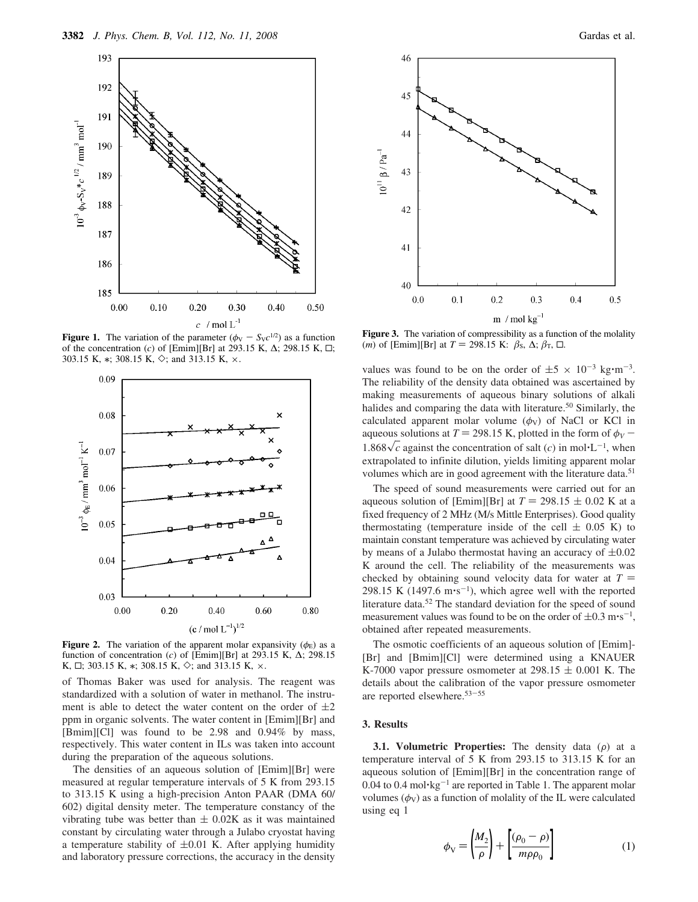

**Figure 1.** The variation of the parameter  $(\phi_V - S_Vc^{1/2})$  as a function of the concentration (*c*) of [Emim][Br] at 293.15 K,  $\Delta$ ; 298.15 K,  $\Box$ ; 303.15 K,  $*$ ; 308.15 K,  $\diamond$ ; and 313.15 K,  $\times$ .



**Figure 2.** The variation of the apparent molar expansivity  $(\phi_{E})$  as a function of concentration (*c*) of [Emim][Br] at 293.15 K, ∆; 298.15 K,  $\Box$ ; 303.15 K,  $*$ ; 308.15 K,  $\diamond$ ; and 313.15 K,  $\times$ .

of Thomas Baker was used for analysis. The reagent was standardized with a solution of water in methanol. The instrument is able to detect the water content on the order of  $\pm 2$ ppm in organic solvents. The water content in [Emim][Br] and [Bmim][Cl] was found to be 2.98 and 0.94% by mass, respectively. This water content in ILs was taken into account during the preparation of the aqueous solutions.

The densities of an aqueous solution of [Emim][Br] were measured at regular temperature intervals of 5 K from 293.15 to 313.15 K using a high-precision Anton PAAR (DMA 60/ 602) digital density meter. The temperature constancy of the vibrating tube was better than  $\pm$  0.02K as it was maintained constant by circulating water through a Julabo cryostat having a temperature stability of  $\pm 0.01$  K. After applying humidity and laboratory pressure corrections, the accuracy in the density



Figure 3. The variation of compressibility as a function of the molality  $(m)$  of [Emim][Br] at *T* = 298.15 K:  $\beta_s$ ,  $\Delta$ ;  $\beta_T$ ,  $\Box$ .

values was found to be on the order of  $\pm 5 \times 10^{-3}$  kg·m<sup>-3</sup>. The reliability of the density data obtained was ascertained by making measurements of aqueous binary solutions of alkali halides and comparing the data with literature.<sup>50</sup> Similarly, the calculated apparent molar volume  $(\phi_V)$  of NaCl or KCl in aqueous solutions at  $T = 298.15$  K, plotted in the form of  $\phi_V$  – 1.868 $\sqrt{c}$  against the concentration of salt (*c*) in mol·L<sup>-1</sup>, when extrapolated to infinite dilution, yields limiting apparent molar volumes which are in good agreement with the literature data.<sup>51</sup>

The speed of sound measurements were carried out for an aqueous solution of [Emim][Br] at  $T = 298.15 \pm 0.02$  K at a fixed frequency of 2 MHz (M/s Mittle Enterprises). Good quality thermostating (temperature inside of the cell  $\pm$  0.05 K) to maintain constant temperature was achieved by circulating water by means of a Julabo thermostat having an accuracy of  $\pm 0.02$ K around the cell. The reliability of the measurements was checked by obtaining sound velocity data for water at  $T =$ 298.15 K (1497.6 m·s<sup>-1</sup>), which agree well with the reported literature data.<sup>52</sup> The standard deviation for the speed of sound measurement values was found to be on the order of  $\pm 0.3$  m·s<sup>-1</sup>, obtained after repeated measurements.

The osmotic coefficients of an aqueous solution of [Emim]- [Br] and [Bmim][Cl] were determined using a KNAUER K-7000 vapor pressure osmometer at  $298.15 \pm 0.001$  K. The details about the calibration of the vapor pressure osmometer are reported elsewhere.<sup>53</sup>-<sup>55</sup>

### **3. Results**

**3.1. Volumetric Properties:** The density data  $(\rho)$  at a temperature interval of 5 K from 293.15 to 313.15 K for an aqueous solution of [Emim][Br] in the concentration range of 0.04 to 0.4 mol $\text{kg}^{-1}$  are reported in Table 1. The apparent molar volumes  $(\phi_V)$  as a function of molality of the IL were calculated using eq 1

$$
\phi_{\rm V} = \left(\frac{M_2}{\rho}\right) + \left[\frac{(\rho_0 - \rho)}{m\rho \rho_0}\right] \tag{1}
$$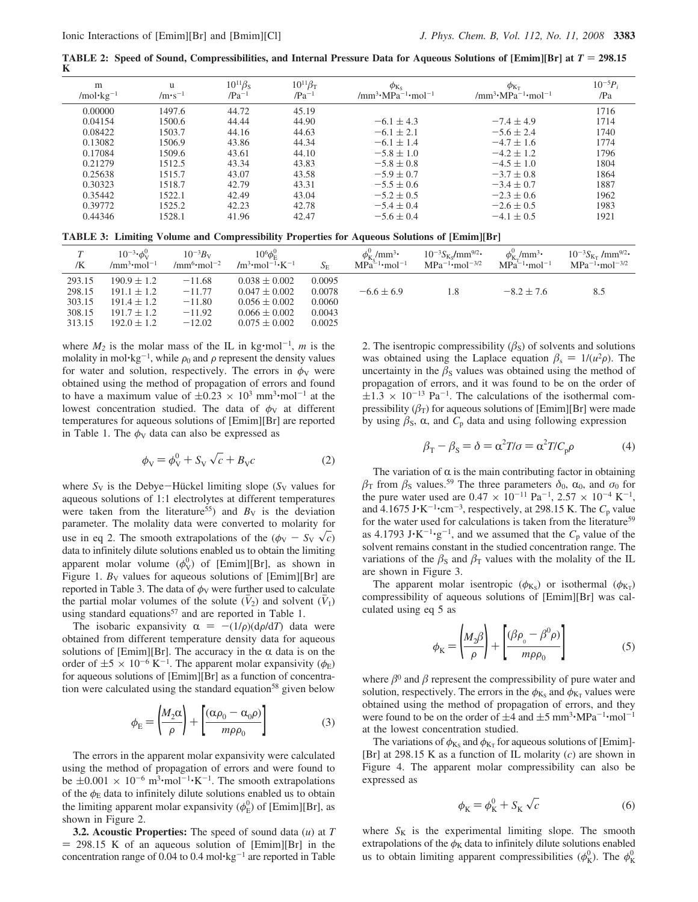**TABLE 2: Speed of Sound, Compressibilities, and Internal Pressure Data for Aqueous Solutions of [Emim][Br] at**  $T = 298.15$ **K**

| m<br>/mol·kg <sup>-1</sup> | u<br>$/m \cdot s^{-1}$ | $10^{11}\beta_{\rm S}$<br>$/Pa^{-1}$ | $10^{11}\beta_T$<br>$/Pa^{-1}$ | $\phi_{Ks}$<br>/mm <sup>3</sup> $\cdot$ MPa <sup>-1</sup> $\cdot$ mol <sup>-1</sup> | $\phi_{K_{\text{T}}}$<br>/mm <sup>3</sup> $\cdot$ MPa <sup>-1</sup> $\cdot$ mol <sup>-1</sup> | $10^{-5}P_i$<br>/Pa |
|----------------------------|------------------------|--------------------------------------|--------------------------------|-------------------------------------------------------------------------------------|-----------------------------------------------------------------------------------------------|---------------------|
| 0.00000                    | 1497.6                 | 44.72                                | 45.19                          |                                                                                     |                                                                                               | 1716                |
| 0.04154                    | 1500.6                 | 44.44                                | 44.90                          | $-6.1 \pm 4.3$                                                                      | $-7.4 \pm 4.9$                                                                                | 1714                |
| 0.08422                    | 1503.7                 | 44.16                                | 44.63                          | $-6.1 \pm 2.1$                                                                      | $-5.6 \pm 2.4$                                                                                | 1740                |
| 0.13082                    | 1506.9                 | 43.86                                | 44.34                          | $-6.1 \pm 1.4$                                                                      | $-4.7 \pm 1.6$                                                                                | 1774                |
| 0.17084                    | 1509.6                 | 43.61                                | 44.10                          | $-5.8 \pm 1.0$                                                                      | $-4.2 + 1.2$                                                                                  | 1796                |
| 0.21279                    | 1512.5                 | 43.34                                | 43.83                          | $-5.8 \pm 0.8$                                                                      | $-4.5 \pm 1.0$                                                                                | 1804                |
| 0.25638                    | 1515.7                 | 43.07                                | 43.58                          | $-5.9 \pm 0.7$                                                                      | $-3.7 + 0.8$                                                                                  | 1864                |
| 0.30323                    | 1518.7                 | 42.79                                | 43.31                          | $-5.5 \pm 0.6$                                                                      | $-3.4 \pm 0.7$                                                                                | 1887                |
| 0.35442                    | 1522.1                 | 42.49                                | 43.04                          | $-5.2 \pm 0.5$                                                                      | $-2.3 \pm 0.6$                                                                                | 1962                |
| 0.39772                    | 1525.2                 | 42.23                                | 42.78                          | $-5.4 \pm 0.4$                                                                      | $-2.6 \pm 0.5$                                                                                | 1983                |
| 0.44346                    | 1528.1                 | 41.96                                | 42.47                          | $-5.6 \pm 0.4$                                                                      | $-4.1 \pm 0.5$                                                                                | 1921                |

**TABLE 3: Limiting Volume and Compressibility Properties for Aqueous Solutions of [Emim][Br]**

| T<br>/K                                        | $10^{-3} \cdot \phi_{V}^{0}$<br>/mm <sup>3</sup> ·mol <sup>-1</sup>                         | $10^{-3}B_{V}$<br>/mm <sup>6</sup> ·mol <sup>-2</sup>    | $10^6 \phi_{\scriptscriptstyle \mathrm{E}}^0$<br>$/m^3$ ·mol <sup>-1</sup> ·K <sup>-1</sup>           | $S_{\rm E}$                                    | $\phi_{\rm K_S}^0/{\rm mm}^3$ • ${\rm MPa}^{-1}$ •mol $^{-1}$ | $10^{-3} S_{K_S} / \text{mm}^{9/2}$<br>$MPa^{-1}$ ·mol <sup>-3/2</sup> | $\phi_{K_{\tau}}^0$ /mm <sup>3</sup> ·<br>$MPa^{-1}$ ·mol <sup>-1</sup> | $10^{-3}S_{K_T}$ /mm <sup>9/2</sup> •<br>$MPa^{-1}$ ·mol <sup>-3/2</sup> |
|------------------------------------------------|---------------------------------------------------------------------------------------------|----------------------------------------------------------|-------------------------------------------------------------------------------------------------------|------------------------------------------------|---------------------------------------------------------------|------------------------------------------------------------------------|-------------------------------------------------------------------------|--------------------------------------------------------------------------|
| 293.15<br>298.15<br>303.15<br>308.15<br>313.15 | $190.9 \pm 1.2$<br>$191.1 \pm 1.2$<br>$191.4 \pm 1.2$<br>$191.7 \pm 1.2$<br>$192.0 \pm 1.2$ | $-11.68$<br>$-11.77$<br>$-11.80$<br>$-11.92$<br>$-12.02$ | $0.038 \pm 0.002$<br>$0.047 \pm 0.002$<br>$0.056 \pm 0.002$<br>$0.066 \pm 0.002$<br>$0.075 \pm 0.002$ | 0.0095<br>0.0078<br>0.0060<br>0.0043<br>0.0025 | $-6.6 \pm 6.9$                                                |                                                                        | $-8.2 \pm 7.6$                                                          | 8.5                                                                      |

where  $M_2$  is the molar mass of the IL in kg·mol<sup>-1</sup>, *m* is the molality in mol·kg<sup>-1</sup>, while  $\rho_0$  and  $\rho$  represent the density values for water and solution, respectively. The errors in  $\phi_V$  were obtained using the method of propagation of errors and found to have a maximum value of  $\pm 0.23 \times 10^3$  mm<sup>3</sup>·mol<sup>-1</sup> at the lowest concentration studied. The data of  $\phi_V$  at different temperatures for aqueous solutions of [Emim][Br] are reported in Table 1. The  $\phi_V$  data can also be expressed as

$$
\phi_{\rm V} = \phi_{\rm V}^0 + S_{\rm V} \sqrt{c} + B_{\rm V} c \tag{2}
$$

where  $S_V$  is the Debye-Hückel limiting slope ( $S_V$  values for aqueous solutions of 1:1 electrolytes at different temperatures were taken from the literature<sup>55</sup>) and  $B_V$  is the deviation parameter. The molality data were converted to molarity for use in eq 2. The smooth extrapolations of the  $(\phi_V - S_V \sqrt{c})$ data to infinitely dilute solutions enabled us to obtain the limiting apparent molar volume  $(\phi_V^0)$  of [Emim][Br], as shown in Figure 1.  $B_V$  values for aqueous solutions of [Emim][Br] are reported in Table 3. The data of  $\phi_V$  were further used to calculate the partial molar volumes of the solute  $(\bar{V}_2)$  and solvent  $(\bar{V}_1)$ using standard equations<sup>57</sup> and are reported in Table 1.

The isobaric expansivity  $\alpha = -(1/\rho)(d\rho/dT)$  data were obtained from different temperature density data for aqueous solutions of [Emim][Br]. The accuracy in the  $\alpha$  data is on the order of  $\pm 5 \times 10^{-6}$  K<sup>-1</sup>. The apparent molar expansivity ( $\phi_{\rm E}$ ) for aqueous solutions of [Emim][Br] as a function of concentration were calculated using the standard equation<sup>58</sup> given below

$$
\phi_{\rm E} = \left(\frac{M_2 \alpha}{\rho}\right) + \left[\frac{(\alpha \rho_0 - \alpha_0 \rho)}{m \rho \rho_0}\right] \tag{3}
$$

The errors in the apparent molar expansivity were calculated using the method of propagation of errors and were found to be  $\pm 0.001 \times 10^{-6}$  m<sup>3</sup>·mol<sup>-1</sup>·K<sup>-1</sup>. The smooth extrapolations of the  $\phi$ <sub>E</sub> data to infinitely dilute solutions enabled us to obtain the limiting apparent molar expansivity ( $\phi_{\rm E}^0$ ) of [Emim][Br], as shown in Figure 2.

**3.2. Acoustic Properties:** The speed of sound data (*u*) at *T*  $= 298.15$  K of an aqueous solution of [Emim][Br] in the concentration range of 0.04 to 0.4 mol $\text{kg}^{-1}$  are reported in Table 2. The isentropic compressibility  $(\beta_s)$  of solvents and solutions was obtained using the Laplace equation  $\beta_s = 1/(u^2 \rho)$ . The uncertainty in the  $\beta_s$  values was obtained using the method of propagation of errors, and it was found to be on the order of  $\pm 1.3 \times 10^{-13}$  Pa<sup>-1</sup>. The calculations of the isothermal compressibility  $(\beta_T)$  for aqueous solutions of [Emim][Br] were made by using  $\beta$ <sub>S</sub>,  $\alpha$ , and  $C_p$  data and using following expression

$$
\beta_{\rm T} - \beta_{\rm S} = \delta = \alpha^2 T / \sigma = \alpha^2 T / C_{\rm p} \rho \tag{4}
$$

The variation of  $\alpha$  is the main contributing factor in obtaining  $\beta$ <sub>T</sub> from  $\beta$ <sub>S</sub> values.<sup>59</sup> The three parameters  $\delta_0$ ,  $\alpha_0$ , and  $\sigma_0$  for the pure water used are  $0.47 \times 10^{-11}$  Pa<sup>-1</sup>,  $2.57 \times 10^{-4}$  K<sup>-1</sup>, and  $4.1675 \text{ J} \cdot \text{K}^{-1} \cdot \text{cm}^{-3}$ , respectively, at 298.15 K. The  $C_p$  value for the water used for calculations is taken from the literature<sup>59</sup> as 4.1793  $J \cdot K^{-1} \cdot g^{-1}$ , and we assumed that the  $C_p$  value of the solvent remains constant in the studied concentration range. The variations of the  $\beta_s$  and  $\beta_T$  values with the molality of the IL are shown in Figure 3.

The apparent molar isentropic  $(\phi_{K_S})$  or isothermal  $(\phi_{K_T})$ compressibility of aqueous solutions of [Emim][Br] was calculated using eq 5 as

$$
\phi_{\rm K} = \left(\frac{M_2 \beta}{\rho}\right) + \left[\frac{(\beta \rho_{\rm o} - \beta^0 \rho)}{m \rho \rho_0}\right] \tag{5}
$$

where  $\beta^0$  and  $\beta$  represent the compressibility of pure water and solution, respectively. The errors in the  $\phi_{K_S}$  and  $\phi_{K_T}$  values were obtained using the method of propagation of errors, and they were found to be on the order of  $\pm 4$  and  $\pm 5$  mm<sup>3</sup> $\cdot$ MPa<sup>-1</sup> $\cdot$ mol<sup>-1</sup> at the lowest concentration studied.

The variations of  $\phi_{K_S}$  and  $\phi_{K_T}$  for aqueous solutions of [Emim]-[Br] at 298.15 K as a function of IL molarity (*c*) are shown in Figure 4. The apparent molar compressibility can also be expressed as

$$
\phi_{\mathbf{K}} = \phi_{\mathbf{K}}^0 + S_{\mathbf{K}} \sqrt{c} \tag{6}
$$

where  $S_K$  is the experimental limiting slope. The smooth extrapolations of the  $\phi_K$  data to infinitely dilute solutions enabled us to obtain limiting apparent compressibilities  $(\phi_{K}^{0})$ . The  $\phi_{K}^{0}$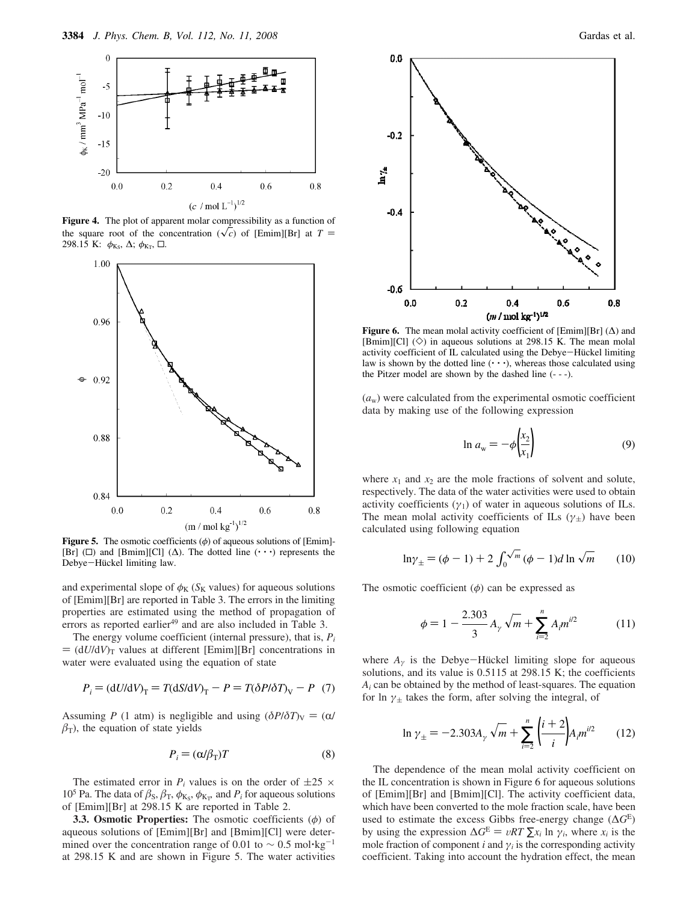

**Figure 4.** The plot of apparent molar compressibility as a function of the square root of the concentration  $(\sqrt{c})$  of [Emim][Br] at *T* = 298.15 K:  $\phi_{K_S}$ , Δ;  $\phi_{K_T}$ , □.



**Figure 5.** The osmotic coefficients  $(\phi)$  of aqueous solutions of [Emim]-[Br] ( $\square$ ) and [Bmim][Cl] ( $\triangle$ ). The dotted line ( $\cdot \cdot \cdot$ ) represents the Debye-Hückel limiting law.

and experimental slope of  $\phi_K$  ( $S_K$  values) for aqueous solutions of [Emim][Br] are reported in Table 3. The errors in the limiting properties are estimated using the method of propagation of errors as reported earlier<sup>49</sup> and are also included in Table 3.

The energy volume coefficient (internal pressure), that is, *P<sup>i</sup>*  $= (dU/dV)$ <sub>T</sub> values at different [Emim][Br] concentrations in water were evaluated using the equation of state

$$
P_i = (dU/dV)_T = T(dS/dV)_T - P = T(\delta P/\delta T)_V - P
$$
 (7)

Assuming *P* (1 atm) is negligible and using  $(\delta P/\delta T)_V = (\alpha/\delta T)$  $\beta$ <sub>T</sub>), the equation of state yields

$$
P_i = (\alpha/\beta_T)T \tag{8}
$$

The estimated error in  $P_i$  values is on the order of  $\pm 25 \times$ 10<sup>5</sup> Pa. The data of  $\beta_s$ ,  $\beta_T$ ,  $\phi_{K_s}$ ,  $\phi_{K_T}$ , and  $P_i$  for aqueous solutions of [Emim][Br] at 298.15 K are reported in Table 2.

**3.3. Osmotic Properties:** The osmotic coefficients (φ) of aqueous solutions of [Emim][Br] and [Bmim][Cl] were determined over the concentration range of 0.01 to  $\sim 0.5$  mol $\text{kg}^{-1}$ at 298.15 K and are shown in Figure 5. The water activities



**Figure 6.** The mean molal activity coefficient of  $[Emim][Br]$  ( $\Delta$ ) and [Bmim][Cl]  $(\diamond)$  in aqueous solutions at 298.15 K. The mean molal activity coefficient of IL calculated using the Debye-Hückel limiting law is shown by the dotted line  $(··)$ , whereas those calculated using the Pitzer model are shown by the dashed line (- - -).

 $(a<sub>w</sub>)$  were calculated from the experimental osmotic coefficient data by making use of the following expression

$$
\ln a_{\rm w} = -\phi \left(\frac{x_2}{x_1}\right) \tag{9}
$$

where  $x_1$  and  $x_2$  are the mole fractions of solvent and solute, respectively. The data of the water activities were used to obtain activity coefficients  $(\gamma_1)$  of water in aqueous solutions of ILs. The mean molal activity coefficients of ILs ( $\gamma_{\pm}$ ) have been calculated using following equation

$$
\ln \gamma_{\pm} = (\phi - 1) + 2 \int_0^{\sqrt{m}} (\phi - 1) d \ln \sqrt{m}
$$
 (10)

The osmotic coefficient  $(\phi)$  can be expressed as

$$
\phi = 1 - \frac{2.303}{3} A_{\gamma} \sqrt{m} + \sum_{i=2}^{n} A_{i} m^{i/2}
$$
 (11)

where  $A_{\gamma}$  is the Debye-Hückel limiting slope for aqueous solutions, and its value is  $0.5115$  at 298.15 K; the coefficients *A<sup>i</sup>* can be obtained by the method of least-squares. The equation for ln  $\gamma_{\pm}$  takes the form, after solving the integral, of

$$
\ln \gamma_{\pm} = -2.303 A_{\gamma} \sqrt{m} + \sum_{i=2}^{n} \left(\frac{i+2}{i}\right) A_{i} m^{i/2} \qquad (12)
$$

The dependence of the mean molal activity coefficient on the IL concentration is shown in Figure 6 for aqueous solutions of [Emim][Br] and [Bmim][Cl]. The activity coefficient data, which have been converted to the mole fraction scale, have been used to estimate the excess Gibbs free-energy change (∆*G*<sup>E</sup> ) by using the expression  $\Delta G^E = vRT \sum x_i \ln \gamma_i$ , where  $x_i$  is the mole fraction of component *i* and  $\gamma_i$  is the corresponding activity coefficient. Taking into account the hydration effect, the mean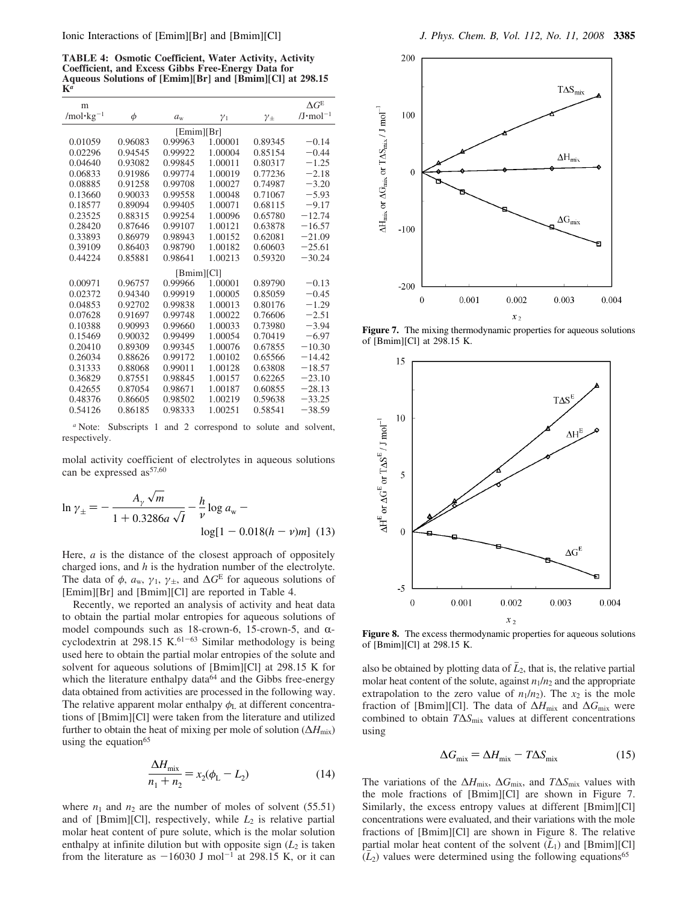**TABLE 4: Osmotic Coefficient, Water Activity, Activity Coefficient, and Excess Gibbs Free-Energy Data for Aqueous Solutions of [Emim][Br] and [Bmim][Cl] at 298.15 K***a*

| m                     |         |             |            |                | $\Delta G^{\rm E}$  |  |  |  |  |
|-----------------------|---------|-------------|------------|----------------|---------------------|--|--|--|--|
| /mol·kg <sup>-1</sup> | $\phi$  | $a_{\rm w}$ | $\gamma_1$ | $\gamma_{\pm}$ | $/J \cdot mol^{-1}$ |  |  |  |  |
| [Emim][Br]            |         |             |            |                |                     |  |  |  |  |
| 0.01059               | 0.96083 | 0.99963     | 1.00001    | 0.89345        | $-0.14$             |  |  |  |  |
| 0.02296               | 0.94545 | 0.99922     | 1.00004    | 0.85154        | $-0.44$             |  |  |  |  |
| 0.04640               | 0.93082 | 0.99845     | 1.00011    | 0.80317        | $-1.25$             |  |  |  |  |
| 0.06833               | 0.91986 | 0.99774     | 1.00019    | 0.77236        | $-2.18$             |  |  |  |  |
| 0.08885               | 0.91258 | 0.99708     | 1.00027    | 0.74987        | $-3.20$             |  |  |  |  |
| 0.13660               | 0.90033 | 0.99558     | 1.00048    | 0.71067        | $-5.93$             |  |  |  |  |
| 0.18577               | 0.89094 | 0.99405     | 1.00071    | 0.68115        | $-9.17$             |  |  |  |  |
| 0.23525               | 0.88315 | 0.99254     | 1.00096    | 0.65780        | $-12.74$            |  |  |  |  |
| 0.28420               | 0.87646 | 0.99107     | 1.00121    | 0.63878        | $-16.57$            |  |  |  |  |
| 0.33893               | 0.86979 | 0.98943     | 1.00152    | 0.62081        | $-21.09$            |  |  |  |  |
| 0.39109               | 0.86403 | 0.98790     | 1.00182    | 0.60603        | $-25.61$            |  |  |  |  |
| 0.44224               | 0.85881 | 0.98641     | 1.00213    | 0.59320        | $-30.24$            |  |  |  |  |
| [Bmim][Cl]            |         |             |            |                |                     |  |  |  |  |
| 0.00971               | 0.96757 | 0.99966     | 1.00001    | 0.89790        | $-0.13$             |  |  |  |  |
| 0.02372               | 0.94340 | 0.99919     | 1.00005    | 0.85059        | $-0.45$             |  |  |  |  |
| 0.04853               | 0.92702 | 0.99838     | 1.00013    | 0.80176        | $-1.29$             |  |  |  |  |
| 0.07628               | 0.91697 | 0.99748     | 1.00022    | 0.76606        | $-2.51$             |  |  |  |  |
| 0.10388               | 0.90993 | 0.99660     | 1.00033    | 0.73980        | $-3.94$             |  |  |  |  |
| 0.15469               | 0.90032 | 0.99499     | 1.00054    | 0.70419        | $-6.97$             |  |  |  |  |
| 0.20410               | 0.89309 | 0.99345     | 1.00076    | 0.67855        | $-10.30$            |  |  |  |  |
| 0.26034               | 0.88626 | 0.99172     | 1.00102    | 0.65566        | $-14.42$            |  |  |  |  |
| 0.31333               | 0.88068 | 0.99011     | 1.00128    | 0.63808        | $-18.57$            |  |  |  |  |
| 0.36829               | 0.87551 | 0.98845     | 1.00157    | 0.62265        | $-23.10$            |  |  |  |  |
| 0.42655               | 0.87054 | 0.98671     | 1.00187    | 0.60855        | $-28.13$            |  |  |  |  |
| 0.48376               | 0.86605 | 0.98502     | 1.00219    | 0.59638        | $-33.25$            |  |  |  |  |
| 0.54126               | 0.86185 | 0.98333     | 1.00251    | 0.58541        | $-38.59$            |  |  |  |  |

*<sup>a</sup>* Note: Subscripts 1 and 2 correspond to solute and solvent, respectively.

molal activity coefficient of electrolytes in aqueous solutions can be expressed  $as^{57,60}$ 

$$
\ln \gamma_{\pm} = -\frac{A_{\gamma} \sqrt{m}}{1 + 0.3286a \sqrt{I}} - \frac{h}{\nu} \log a_{\rm w} - \log[1 - 0.018(h - \nu)m] \tag{13}
$$

Here, *a* is the distance of the closest approach of oppositely charged ions, and *h* is the hydration number of the electrolyte. The data of  $\phi$ ,  $a_w$ ,  $\gamma_1$ ,  $\gamma_{\pm}$ , and  $\Delta G^{\rm E}$  for aqueous solutions of [Emim][Br] and [Bmim][Cl] are reported in Table 4.

Recently, we reported an analysis of activity and heat data to obtain the partial molar entropies for aqueous solutions of model compounds such as 18-crown-6, 15-crown-5, and  $\alpha$ cyclodextrin at 298.15 K. $61-63$  Similar methodology is being used here to obtain the partial molar entropies of the solute and solvent for aqueous solutions of [Bmim][Cl] at 298.15 K for which the literature enthalpy data $64$  and the Gibbs free-energy data obtained from activities are processed in the following way. The relative apparent molar enthalpy  $\phi_L$  at different concentrations of [Bmim][Cl] were taken from the literature and utilized further to obtain the heat of mixing per mole of solution ( $\Delta H_{\text{mix}}$ ) using the equation $65$ 

$$
\frac{\Delta H_{\text{mix}}}{n_1 + n_2} = x_2(\phi_L - L_2)
$$
\n(14)

where  $n_1$  and  $n_2$  are the number of moles of solvent (55.51) and of [Bmim][Cl], respectively, while  $L_2$  is relative partial molar heat content of pure solute, which is the molar solution enthalpy at infinite dilution but with opposite sign  $(L_2)$  is taken from the literature as  $-16030$  J mol<sup>-1</sup> at 298.15 K, or it can



Figure 7. The mixing thermodynamic properties for aqueous solutions of [Bmim][Cl] at 298.15 K.



**Figure 8.** The excess thermodynamic properties for aqueous solutions of [Bmim][Cl] at 298.15 K.

also be obtained by plotting data of  $L_2$ , that is, the relative partial molar heat content of the solute, against  $n_1/n_2$  and the appropriate extrapolation to the zero value of  $n_1/n_2$ ). The  $x_2$  is the mole fraction of [Bmim][Cl]. The data of ∆*H*mix and ∆*G*mix were combined to obtain *T*∆*S*mix values at different concentrations using

$$
\Delta G_{\text{mix}} = \Delta H_{\text{mix}} - T\Delta S_{\text{mix}} \tag{15}
$$

The variations of the ∆*H*mix, ∆*G*mix, and *T*∆*S*mix values with the mole fractions of [Bmim][Cl] are shown in Figure 7. Similarly, the excess entropy values at different [Bmim][Cl] concentrations were evaluated, and their variations with the mole fractions of [Bmim][Cl] are shown in Figure 8. The relative partial molar heat content of the solvent  $(L_1)$  and [Bmim][Cl]  $(\bar{L}_2)$  values were determined using the following equations<sup>65</sup>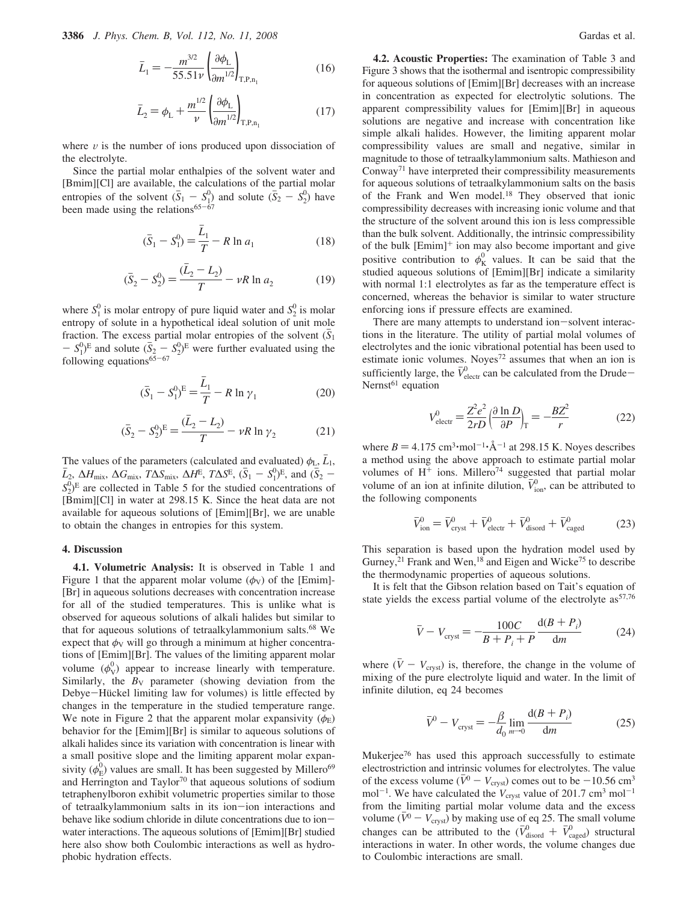$$
\bar{L}_1 = -\frac{m^{3/2}}{55.51\nu} \left(\frac{\partial \phi_L}{\partial m^{1/2}}\right)_{\mathrm{T, P, n_1}} \tag{16}
$$

$$
\bar{L}_2 = \phi_{\rm L} + \frac{m^{1/2}}{\nu} \left( \frac{\partial \phi_{\rm L}}{\partial m^{1/2}} \right)_{\rm T,P,n_1}
$$
(17)

where  $\nu$  is the number of ions produced upon dissociation of the electrolyte.

Since the partial molar enthalpies of the solvent water and [Bmim][Cl] are available, the calculations of the partial molar entropies of the solvent  $(\bar{S}_1 - S_1^0)$  and solute  $(\bar{S}_2 - S_2^0)$  have been made using the relations $65-67$ 

$$
(\bar{S}_1 - S_1^0) = \frac{L_1}{T} - R \ln a_1 \tag{18}
$$

$$
(\bar{S}_2 - S_2^0) = \frac{(\bar{L}_2 - L_2)}{T} - \nu R \ln a_2 \tag{19}
$$

where  $S_1^0$  is molar entropy of pure liquid water and  $S_2^0$  is molar entropy of solute in a hypothetical ideal solution of unit mole fraction. The excess partial molar entropies of the solvent  $(\bar{S}_1)$  $-S_1^0$ <sup>E</sup> and solute  $(\bar{S}_2 - S_2^0)^E$  were further evaluated using the following equations $65-67$ 

$$
(\bar{S}_1 - S_1^0)^E = \frac{\bar{L}_1}{T} - R \ln \gamma_1
$$
 (20)

$$
(\bar{S}_2 - S_2^0)^E = \frac{(\bar{L}_2 - L_2)}{T} - \nu R \ln \gamma_2
$$
 (21)

The values of the parameters (calculated and evaluated)  $\phi_L$ ,  $L_1$ ,  $\bar{L}_2$ ,  $\Delta H_{\text{mix}}$ ,  $\Delta G_{\text{mix}}$ ,  $T\Delta S_{\text{mix}}$ ,  $\Delta H^{\text{E}}$ ,  $T\Delta S^{\text{E}}$ ,  $(\bar{S}_1 - S_1^0)^{\text{E}}$ , and  $(\bar{S}_2 S_2^0$ <sup>E</sup> are collected in Table 5 for the studied concentrations of [Bmim][Cl] in water at 298.15 K. Since the heat data are not available for aqueous solutions of [Emim][Br], we are unable to obtain the changes in entropies for this system.

#### **4. Discussion**

**4.1. Volumetric Analysis:** It is observed in Table 1 and Figure 1 that the apparent molar volume ( $\phi$ <sub>V</sub>) of the [Emim]-[Br] in aqueous solutions decreases with concentration increase for all of the studied temperatures. This is unlike what is observed for aqueous solutions of alkali halides but similar to that for aqueous solutions of tetraalkylammonium salts.<sup>68</sup> We expect that  $\phi_V$  will go through a minimum at higher concentrations of [Emim][Br]. The values of the limiting apparent molar volume  $(\phi_V^0)$  appear to increase linearly with temperature. Similarly, the  $B_V$  parameter (showing deviation from the Debye-Hückel limiting law for volumes) is little effected by changes in the temperature in the studied temperature range. We note in Figure 2 that the apparent molar expansivity  $(\phi_F)$ behavior for the [Emim][Br] is similar to aqueous solutions of alkali halides since its variation with concentration is linear with a small positive slope and the limiting apparent molar expansivity ( $\phi_{\rm E}^0$ ) values are small. It has been suggested by Millero<sup>69</sup> and Herrington and Taylor<sup>70</sup> that aqueous solutions of sodium tetraphenylboron exhibit volumetric properties similar to those of tetraalkylammonium salts in its ion-ion interactions and behave like sodium chloride in dilute concentrations due to ionwater interactions. The aqueous solutions of [Emim][Br] studied here also show both Coulombic interactions as well as hydrophobic hydration effects.

**4.2. Acoustic Properties:** The examination of Table 3 and Figure 3 shows that the isothermal and isentropic compressibility for aqueous solutions of [Emim][Br] decreases with an increase in concentration as expected for electrolytic solutions. The apparent compressibility values for [Emim][Br] in aqueous solutions are negative and increase with concentration like simple alkali halides. However, the limiting apparent molar compressibility values are small and negative, similar in magnitude to those of tetraalkylammonium salts. Mathieson and Conway<sup>71</sup> have interpreted their compressibility measurements for aqueous solutions of tetraalkylammonium salts on the basis of the Frank and Wen model.<sup>18</sup> They observed that ionic compressibility decreases with increasing ionic volume and that the structure of the solvent around this ion is less compressible than the bulk solvent. Additionally, the intrinsic compressibility of the bulk  $[Emim]^{+}$  ion may also become important and give positive contribution to  $\phi_K^0$  values. It can be said that the studied aqueous solutions of [Emim][Br] indicate a similarity with normal 1:1 electrolytes as far as the temperature effect is concerned, whereas the behavior is similar to water structure enforcing ions if pressure effects are examined.

There are many attempts to understand ion-solvent interactions in the literature. The utility of partial molal volumes of electrolytes and the ionic vibrational potential has been used to estimate ionic volumes. Noyes<sup>72</sup> assumes that when an ion is sufficiently large, the  $\bar{V}_{\text{elect}}^0$  can be calculated from the Drude-Nernst $61$  equation

$$
V_{\text{electr}}^0 = \frac{Z^2 e^2}{2rD} \left(\frac{\partial \ln D}{\partial P}\right)_T = -\frac{BZ^2}{r}
$$
 (22)

where  $B = 4.175$  cm<sup>3</sup> $\cdot$ mol<sup>-1</sup> $\cdot$ Å<sup>-1</sup> at 298.15 K. Noyes describes a method using the above approach to estimate partial molar volumes of  $H^+$  ions. Millero<sup>74</sup> suggested that partial molar volume of an ion at infinite dilution,  $\bar{V}_{\text{ion}}^0$ , can be attributed to the following components

$$
\bar{V}_{\text{ion}}^0 = \bar{V}_{\text{cryst}}^0 + \bar{V}_{\text{electr}}^0 + \bar{V}_{\text{disord}}^0 + \bar{V}_{\text{caged}}^0 \tag{23}
$$

This separation is based upon the hydration model used by Gurney,<sup>21</sup> Frank and Wen,<sup>18</sup> and Eigen and Wicke<sup>75</sup> to describe the thermodynamic properties of aqueous solutions.

It is felt that the Gibson relation based on Tait's equation of state yields the excess partial volume of the electrolyte as<sup>57,76</sup>

$$
\bar{V} - V_{\text{cryst}} = -\frac{100C}{B + P_i + P} \frac{d(B + P_i)}{dm}
$$
 (24)

where  $(\bar{V} - V_{\text{cryst}})$  is, therefore, the change in the volume of mixing of the pure electrolyte liquid and water. In the limit of infinite dilution, eq 24 becomes

$$
\bar{V}^0 - V_{\text{cryst}} = -\frac{\beta}{d_0} \lim_{m \to 0} \frac{\mathrm{d}(B + P_i)}{\mathrm{d}m} \tag{25}
$$

Mukerjee<sup>76</sup> has used this approach successfully to estimate electrostriction and intrinsic volumes for electrolytes. The value of the excess volume ( $\bar{V}^0 - V_{\text{cryst}}$ ) comes out to be  $-10.56$  cm<sup>3</sup> mol<sup>-1</sup>. We have calculated the  $V_{\text{cryst}}$  value of 201.7 cm<sup>3</sup> mol<sup>-1</sup> from the limiting partial molar volume data and the excess volume ( $\bar{V}^0 - V_{\text{cryst}}$ ) by making use of eq 25. The small volume changes can be attributed to the  $(\bar{V}_{\text{disord}}^0 + \bar{V}_{\text{caged}}^0)$  structural interactions in water. In other words, the volume changes due to Coulombic interactions are small.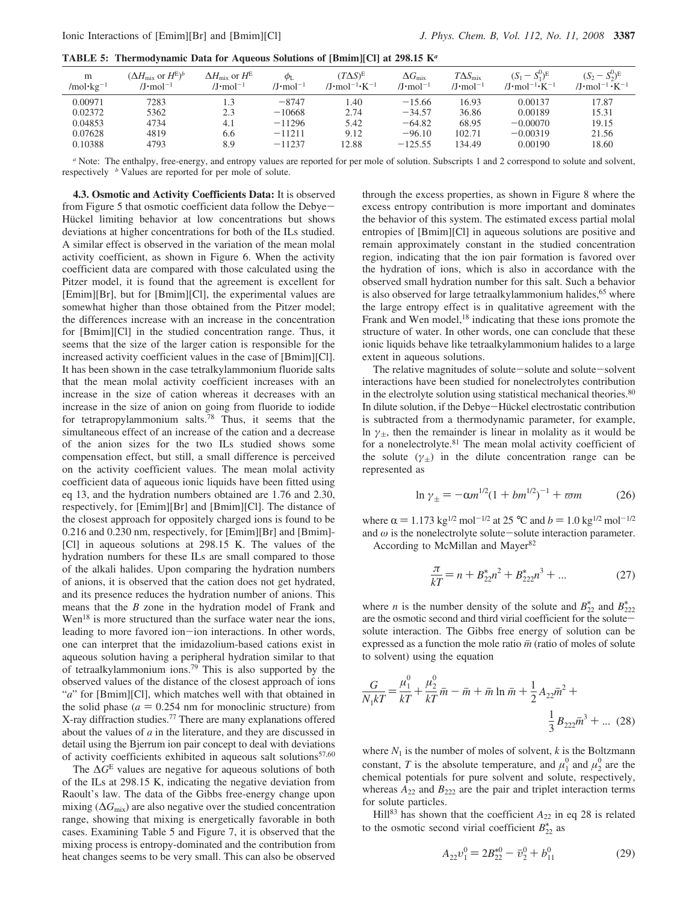**TABLE 5: Thermodynamic Data for Aqueous Solutions of [Bmim][Cl] at 298.15 K***<sup>a</sup>*

| m<br>/mol·kg <sup>-1</sup> | $(\Delta H_{\rm mix}$ or $H^{\rm E})^b$<br>/J·mol $^{-1}$ | $\Delta H_{\rm mix}$ or $H^{\rm E}$<br>/J•mol $^{-1}$ | $\phi_{\rm L}$<br>/J•mol $^{-1}$ | $(T\Delta S)^{E}$<br>/J•mol <sup>-1</sup> •K <sup>-1</sup> | $\Delta G_\mathrm{mix}$<br>$/J \cdot mol^{-1}$ | $T\Delta S_{\text{mix}}$<br>/J·mol <sup>-1</sup> | $(S_1 - S_1^0)^E$<br>$/J \cdot \text{mol}^{-1} \cdot \text{K}^{-1}$ | $(S_2 - S_2^0)^E$<br>/J·mol <sup>-1</sup> ·K <sup>-1</sup> |
|----------------------------|-----------------------------------------------------------|-------------------------------------------------------|----------------------------------|------------------------------------------------------------|------------------------------------------------|--------------------------------------------------|---------------------------------------------------------------------|------------------------------------------------------------|
| 0.00971                    | 7283                                                      |                                                       | $-8747$                          | l.40                                                       | $-15.66$                                       | 16.93                                            | 0.00137                                                             | 17.87                                                      |
| 0.02372                    | 5362                                                      | 2.3                                                   | $-10668$                         | 2.74                                                       | $-34.57$                                       | 36.86                                            | 0.00189                                                             | 15.31                                                      |
| 0.04853                    | 4734                                                      | 4.1                                                   | $-11296$                         | 5.42                                                       | $-64.82$                                       | 68.95                                            | $-0.00070$                                                          | 19.15                                                      |
| 0.07628                    | 4819                                                      | 6.6                                                   | $-11211$                         | 9.12                                                       | $-96.10$                                       | 102.71                                           | $-0.00319$                                                          | 21.56                                                      |
| 0.10388                    | 4793                                                      | 8.9                                                   | $-11237$                         | 12.88                                                      | $-125.55$                                      | 134.49                                           | 0.00190                                                             | 18.60                                                      |

*<sup>a</sup>* Note: The enthalpy, free-energy, and entropy values are reported for per mole of solution. Subscripts 1 and 2 correspond to solute and solvent, respectively *<sup>b</sup>* Values are reported for per mole of solute.

**4.3. Osmotic and Activity Coefficients Data:** It is observed from Figure 5 that osmotic coefficient data follow the Debye-Hückel limiting behavior at low concentrations but shows deviations at higher concentrations for both of the ILs studied. A similar effect is observed in the variation of the mean molal activity coefficient, as shown in Figure 6. When the activity coefficient data are compared with those calculated using the Pitzer model, it is found that the agreement is excellent for [Emim][Br], but for [Bmim][Cl], the experimental values are somewhat higher than those obtained from the Pitzer model; the differences increase with an increase in the concentration for [Bmim][Cl] in the studied concentration range. Thus, it seems that the size of the larger cation is responsible for the increased activity coefficient values in the case of [Bmim][Cl]. It has been shown in the case tetralkylammonium fluoride salts that the mean molal activity coefficient increases with an increase in the size of cation whereas it decreases with an increase in the size of anion on going from fluoride to iodide for tetrapropylammonium salts.<sup>78</sup> Thus, it seems that the simultaneous effect of an increase of the cation and a decrease of the anion sizes for the two ILs studied shows some compensation effect, but still, a small difference is perceived on the activity coefficient values. The mean molal activity coefficient data of aqueous ionic liquids have been fitted using eq 13, and the hydration numbers obtained are 1.76 and 2.30, respectively, for [Emim][Br] and [Bmim][Cl]. The distance of the closest approach for oppositely charged ions is found to be 0.216 and 0.230 nm, respectively, for [Emim][Br] and [Bmim]- [Cl] in aqueous solutions at 298.15 K. The values of the hydration numbers for these ILs are small compared to those of the alkali halides. Upon comparing the hydration numbers of anions, it is observed that the cation does not get hydrated, and its presence reduces the hydration number of anions. This means that the *B* zone in the hydration model of Frank and Wen<sup>18</sup> is more structured than the surface water near the ions, leading to more favored ion-ion interactions. In other words, one can interpret that the imidazolium-based cations exist in aqueous solution having a peripheral hydration similar to that of tetraalkylammonium ions.<sup>79</sup> This is also supported by the observed values of the distance of the closest approach of ions "*a*" for [Bmim][Cl], which matches well with that obtained in the solid phase  $(a = 0.254$  nm for monoclinic structure) from X-ray diffraction studies.<sup>77</sup> There are many explanations offered about the values of *a* in the literature, and they are discussed in detail using the Bjerrum ion pair concept to deal with deviations of activity coefficients exhibited in aqueous salt solutions<sup>57,60</sup>

The ∆*G*<sup>E</sup> values are negative for aqueous solutions of both of the ILs at 298.15 K, indicating the negative deviation from Raoult's law. The data of the Gibbs free-energy change upon mixing (∆*G*mix) are also negative over the studied concentration range, showing that mixing is energetically favorable in both cases. Examining Table 5 and Figure 7, it is observed that the mixing process is entropy-dominated and the contribution from heat changes seems to be very small. This can also be observed through the excess properties, as shown in Figure 8 where the excess entropy contribution is more important and dominates the behavior of this system. The estimated excess partial molal entropies of [Bmim][Cl] in aqueous solutions are positive and remain approximately constant in the studied concentration region, indicating that the ion pair formation is favored over the hydration of ions, which is also in accordance with the observed small hydration number for this salt. Such a behavior is also observed for large tetraalkylammonium halides,<sup>65</sup> where the large entropy effect is in qualitative agreement with the Frank and Wen model,<sup>18</sup> indicating that these ions promote the structure of water. In other words, one can conclude that these ionic liquids behave like tetraalkylammonium halides to a large extent in aqueous solutions.

The relative magnitudes of solute-solute and solute-solvent interactions have been studied for nonelectrolytes contribution in the electrolyte solution using statistical mechanical theories.<sup>80</sup> In dilute solution, if the Debye-Hückel electrostatic contribution is subtracted from a thermodynamic parameter, for example, ln  $\gamma_{\pm}$ , then the remainder is linear in molality as it would be for a nonelectrolyte.<sup>81</sup> The mean molal activity coefficient of the solute  $(\gamma_{\pm})$  in the dilute concentration range can be represented as

$$
\ln \gamma_{\pm} = -\alpha m^{1/2} (1 + bm^{1/2})^{-1} + \varpi m \tag{26}
$$

where  $\alpha = 1.173$  kg<sup>1/2</sup> mol<sup>-1/2</sup> at 25 °C and  $b = 1.0$  kg<sup>1/2</sup> mol<sup>-1/2</sup> and  $\omega$  is the nonelectrolyte solute-solute interaction parameter. According to McMillan and Mayer<sup>82</sup>

$$
\frac{\pi}{kT} = n + B_{22}^* n^2 + B_{222}^* n^3 + \dots \tag{27}
$$

where *n* is the number density of the solute and  $B_{22}^*$  and  $B_{222}^*$ are the osmotic second and third virial coefficient for the solutesolute interaction. The Gibbs free energy of solution can be expressed as a function the mole ratio  $\bar{m}$  (ratio of moles of solute to solvent) using the equation

$$
\frac{G}{N_1 kT} = \frac{\mu_1^0}{kT} + \frac{\mu_2^0}{kT} \bar{m} - \bar{m} + \bar{m} \ln \bar{m} + \frac{1}{2} A_{22} \bar{m}^2 + \frac{1}{3} B_{222} \bar{m}^3 + \dots (28)
$$

where  $N_1$  is the number of moles of solvent,  $k$  is the Boltzmann constant, *T* is the absolute temperature, and  $\mu_1^0$  and  $\mu_2^0$  are the chemical potentials for pure solvent and solute, respectively, whereas  $A_{22}$  and  $B_{222}$  are the pair and triplet interaction terms for solute particles.

Hill<sup>83</sup> has shown that the coefficient  $A_{22}$  in eq 28 is related to the osmotic second virial coefficient  $B_{22}^*$  as

$$
A_{22}v_1^0 = 2B_{22}^{*0} - \bar{v}_2^0 + b_{11}^0
$$
 (29)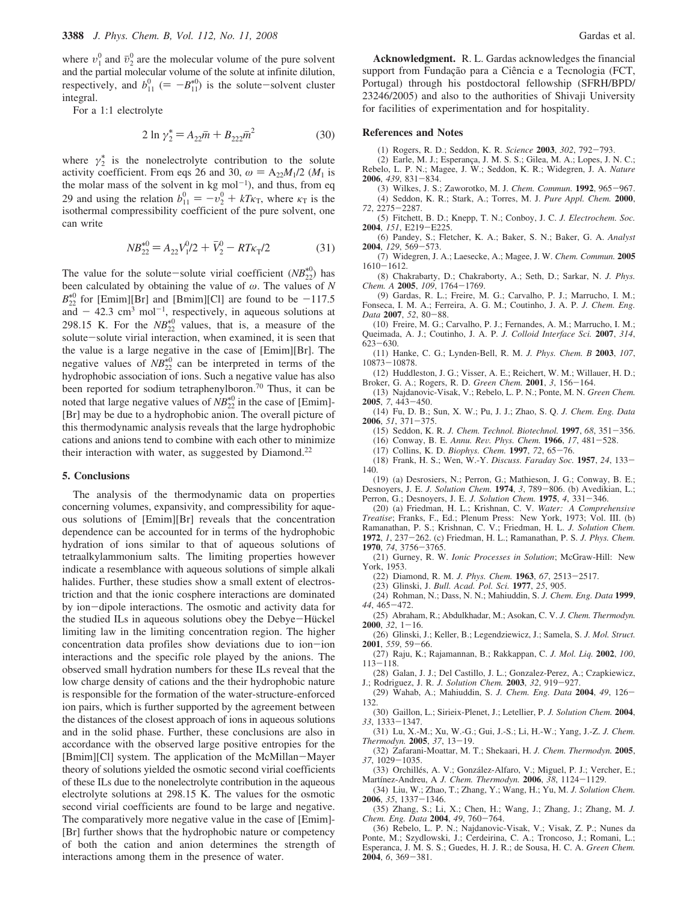where  $v_1^0$  and  $\bar{v}_2^0$  are the molecular volume of the pure solvent and the partial molecular volume of the solute at infinite dilution, respectively, and  $b_{11}^0$  (=  $-B_{11}^{*0}$ ) is the solute-solvent cluster integral.

For a 1:1 electrolyte

$$
2 \ln \gamma_2^* = A_{22} \bar{m} + B_{222} \bar{m}^2 \tag{30}
$$

where  $\gamma_2^*$  is the nonelectrolyte contribution to the solute activity coefficient. From eqs 26 and 30,  $\omega = A_{22}M_1/2$  ( $M_1$  is the molar mass of the solvent in  $kg \text{ mol}^{-1}$ ), and thus, from eq 29 and using the relation  $b_{11}^0 = -v_2^0 + kT\kappa_T$ , where  $\kappa_T$  is the isothermal compressibility coefficient of the pure solvent, one can write

$$
NB_{22}^{*0} = A_{22}V_1^0/2 + \bar{V}_2^0 - RT\kappa_T/2
$$
 (31)

The value for the solute-solute virial coefficient  $(NB_{22}^{*0})$  has been calculated by obtaining the value of ω. The values of *N*  $B_{22}^{*0}$  for [Emim][Br] and [Bmim][Cl] are found to be  $-117.5$ and  $-42.3$  cm<sup>3</sup> mol<sup>-1</sup>, respectively, in aqueous solutions at 298.15 K. For the  $NB_{22}^{*0}$  values, that is, a measure of the solute-solute virial interaction, when examined, it is seen that the value is a large negative in the case of [Emim][Br]. The negative values of  $NB_{22}^{*0}$  can be interpreted in terms of the hydrophobic association of ions. Such a negative value has also been reported for sodium tetraphenylboron.<sup>70</sup> Thus, it can be noted that large negative values of  $NB_{22}^{*0}$  in the case of [Emim]-[Br] may be due to a hydrophobic anion. The overall picture of this thermodynamic analysis reveals that the large hydrophobic cations and anions tend to combine with each other to minimize their interaction with water, as suggested by Diamond.<sup>22</sup>

#### **5. Conclusions**

The analysis of the thermodynamic data on properties concerning volumes, expansivity, and compressibility for aqueous solutions of [Emim][Br] reveals that the concentration dependence can be accounted for in terms of the hydrophobic hydration of ions similar to that of aqueous solutions of tetraalkylammonium salts. The limiting properties however indicate a resemblance with aqueous solutions of simple alkali halides. Further, these studies show a small extent of electrostriction and that the ionic cosphere interactions are dominated by ion-dipole interactions. The osmotic and activity data for the studied ILs in aqueous solutions obey the Debye-Hückel limiting law in the limiting concentration region. The higher concentration data profiles show deviations due to ion-ion interactions and the specific role played by the anions. The observed small hydration numbers for these ILs reveal that the low charge density of cations and the their hydrophobic nature is responsible for the formation of the water-structure-enforced ion pairs, which is further supported by the agreement between the distances of the closest approach of ions in aqueous solutions and in the solid phase. Further, these conclusions are also in accordance with the observed large positive entropies for the [Bmim][Cl] system. The application of the McMillan-Mayer theory of solutions yielded the osmotic second virial coefficients of these ILs due to the nonelectrolyte contribution in the aqueous electrolyte solutions at 298.15 K. The values for the osmotic second virial coefficients are found to be large and negative. The comparatively more negative value in the case of [Emim]- [Br] further shows that the hydrophobic nature or competency of both the cation and anion determines the strength of interactions among them in the presence of water.

**Acknowledgment.** R. L. Gardas acknowledges the financial support from Fundação para a Ciência e a Tecnologia (FCT, Portugal) through his postdoctoral fellowship (SFRH/BPD/ 23246/2005) and also to the authorities of Shivaji University for facilities of experimentation and for hospitality.

#### **References and Notes**

(1) Rogers, R. D.; Seddon, K. R. *Science* **2003**, *302*, 792-793.

(2) Earle, M. J.; Esperança, J. M. S. S.; Gilea, M. A.; Lopes, J. N. C.; Rebelo, L. P. N.; Magee, J. W.; Seddon, K. R.; Widegren, J. A. *Nature* **2006**, *439*, 831-834.

(3) Wilkes, J. S.; Zaworotko, M. J. *Chem. Commun.* **1992**, 965-967. (4) Seddon, K. R.; Stark, A.; Torres, M. J. *Pure Appl. Chem.* **2000**, *72*, 2275-2287.

(5) Fitchett, B. D.; Knepp, T. N.; Conboy, J. C. *J. Electrochem. Soc.* **2004**, *151*, E219-E225.

(6) Pandey, S.; Fletcher, K. A.; Baker, S. N.; Baker, G. A. *Analyst* **2004**, *129*, 569-573.

(7) Widegren, J. A.; Laesecke, A.; Magee, J. W. *Chem. Commun.* **2005**  $1610 - 1612$ .

(8) Chakrabarty, D.; Chakraborty, A.; Seth, D.; Sarkar, N. *J. Phys. Chem. A* **2005**, *109*, 1764-1769.

(9) Gardas, R. L.; Freire, M. G.; Carvalho, P. J.; Marrucho, I. M.; Fonseca, I. M. A.; Ferreira, A. G. M.; Coutinho, J. A. P. *J. Chem. Eng. Data* **2007**, *52*, 80-88.

(10) Freire, M. G.; Carvalho, P. J.; Fernandes, A. M.; Marrucho, I. M.; Queimada, A. J.; Coutinho, J. A. P. *J. Colloid Interface Sci.* **2007**, *314*, 623-630.

(11) Hanke, C. G.; Lynden-Bell, R. M. *J. Phys. Chem. B* **2003**, *107*, 10873-10878.

(12) Huddleston, J. G.; Visser, A. E.; Reichert, W. M.; Willauer, H. D.; Broker, G. A.; Rogers, R. D. *Green Chem.* **2001**, *3*, 156-164.

(13) Najdanovic-Visak, V.; Rebelo, L. P. N.; Ponte, M. N. *Green Chem.* **2005**, *7*, 443-450.

(14) Fu, D. B.; Sun, X. W.; Pu, J. J.; Zhao, S. Q. *J. Chem. Eng. Data* **2006**, *51*, 371-375.

(15) Seddon, K. R. *J. Chem. Technol. Biotechnol.* **1997**, *68*, 351-356.

(16) Conway, B. E. *Annu. Re*V*. Phys. Chem.* **1966**, *17*, 481-528.

(17) Collins, K. D. *Biophys. Chem.* **1997**, *72*, 65-76.

(18) Frank, H. S.; Wen, W.-Y. *Discuss. Faraday Soc.* **1957**, *24*, 133- 140.

(19) (a) Desrosiers, N.; Perron, G.; Mathieson, J. G.; Conway, B. E.; Desnoyers, J. E. *J. Solution Chem.* **1974**, *3*, 789-806. (b) Avedikian, L.; Perron, G.; Desnoyers, J. E. *J. Solution Chem.* **1975**, *4*, 331-346.

(20) (a) Friedman, H. L.; Krishnan, C. V. *Water: A Comprehensive Treatise*; Franks, F., Ed.; Plenum Press: New York, 1973; Vol. III. (b) Ramanathan, P. S.; Krishnan, C. V.; Friedman, H. L. *J. Solution Chem.*

**1972**, *1*, 237-262. (c) Friedman, H. L.; Ramanathan, P. S. *J. Phys. Chem.* **1970**, *74*, 3756-3765.

(21) Gurney, R. W. *Ionic Processes in Solution*; McGraw-Hill: New York, 1953.

(22) Diamond, R. M. *J. Phys. Chem.* **1963**, *67*, 2513-2517.

(23) Glinski, J. *Bull. Acad. Pol. Sci.* **1977**, *25*, 905.

(24) Rohman, N.; Dass, N. N.; Mahiuddin, S. *J. Chem. Eng. Data* **1999**, *44*, 465-472.

(25) Abraham, R.; Abdulkhadar, M.; Asokan, C. V. *J. Chem. Thermodyn.*  $2000, 32, 1 - 16.$ 

(26) Glinski, J.; Keller, B.; Legendziewicz, J.; Samela, S. *J. Mol. Struct.* **2001**, *559*, 59-66.

- (27) Raju, K.; Rajamannan, B.; Rakkappan, C. *J. Mol. Liq.* **2002**, *100*, 113-118.
- (28) Galan, J. J.; Del Castillo, J. L.; Gonzalez-Perez, A.; Czapkiewicz, J.; Rodriguez, J. R. *J. Solution Chem.* **2003**, *32*, 919-927.
- (29) Wahab, A.; Mahiuddin, S. *J. Chem. Eng. Data* **2004**, *49*, 126- 132.
- (30) Gaillon, L.; Sirieix-Plenet, J.; Letellier, P. *J. Solution Chem.* **2004**, *33*, 1333-1347.
- (31) Lu, X.-M.; Xu, W.-G.; Gui, J.-S.; Li, H.-W.; Yang, J.-Z. *J. Chem. Thermodyn.* **2005**, *37*, 13-19.

(32) Zafarani-Moattar, M. T.; Shekaari, H. *J. Chem. Thermodyn.* **2005**, *37*, 1029-1035.

(33) Orchillés, A. V.; González-Alfaro, V.; Miguel, P. J.; Vercher, E.; Martínez-Andreu, A *J. Chem. Thermodyn.* **2006**,  $38$ , 1124-1129.

(34) Liu, W.; Zhao, T.; Zhang, Y.; Wang, H.; Yu, M. *J. Solution Chem.* **2006**, *35*, 1337-1346.

(35) Zhang, S.; Li, X.; Chen, H.; Wang, J.; Zhang, J.; Zhang, M. *J. Chem. Eng. Data* **2004**, *49*, 760-764.

(36) Rebelo, L. P. N.; Najdanovic-Visak, V.; Visak, Z. P.; Nunes da Ponte, M.; Szydlowski, J.; Cerdeirina, C. A.; Troncoso, J.; Romani, L.; Esperanca, J. M. S. S.; Guedes, H. J. R.; de Sousa, H. C. A. *Green Chem.* **2004**, *6*, 369-381.